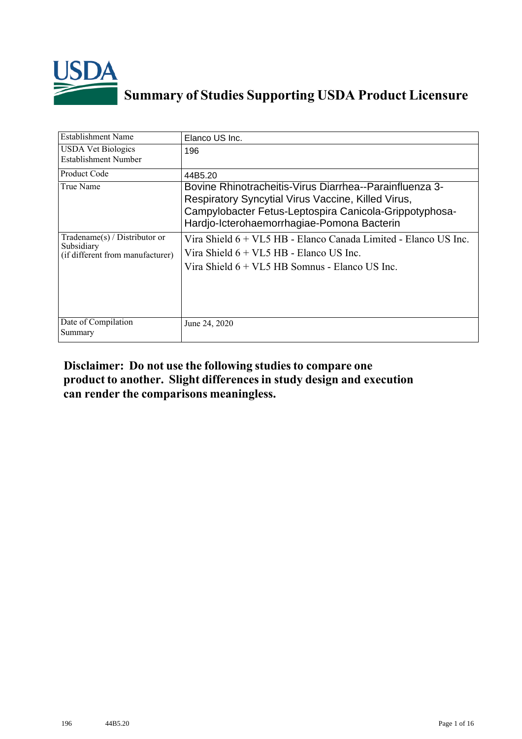

## **Summary of Studies Supporting USDA Product Licensure**

| <b>Establishment Name</b>                                                          | Elanco US Inc.                                                                                                                                                                                                        |
|------------------------------------------------------------------------------------|-----------------------------------------------------------------------------------------------------------------------------------------------------------------------------------------------------------------------|
| <b>USDA Vet Biologics</b><br>Establishment Number                                  | 196                                                                                                                                                                                                                   |
| Product Code                                                                       | 44B5.20                                                                                                                                                                                                               |
| True Name                                                                          | Bovine Rhinotracheitis-Virus Diarrhea--Parainfluenza 3-<br>Respiratory Syncytial Virus Vaccine, Killed Virus,<br>Campylobacter Fetus-Leptospira Canicola-Grippotyphosa-<br>Hardjo-Icterohaemorrhagiae-Pomona Bacterin |
| Tradename $(s)$ / Distributor or<br>Subsidiary<br>(if different from manufacturer) | Vira Shield 6 + VL5 HB - Elanco Canada Limited - Elanco US Inc.<br>Vira Shield 6 + VL5 HB - Elanco US Inc.<br>Vira Shield $6 + V1.5$ HB Somnus - Elanco US Inc.                                                       |
| Date of Compilation<br>Summary                                                     | June 24, 2020                                                                                                                                                                                                         |

## **Disclaimer: Do not use the following studiesto compare one product to another. Slight differencesin study design and execution can render the comparisons meaningless.**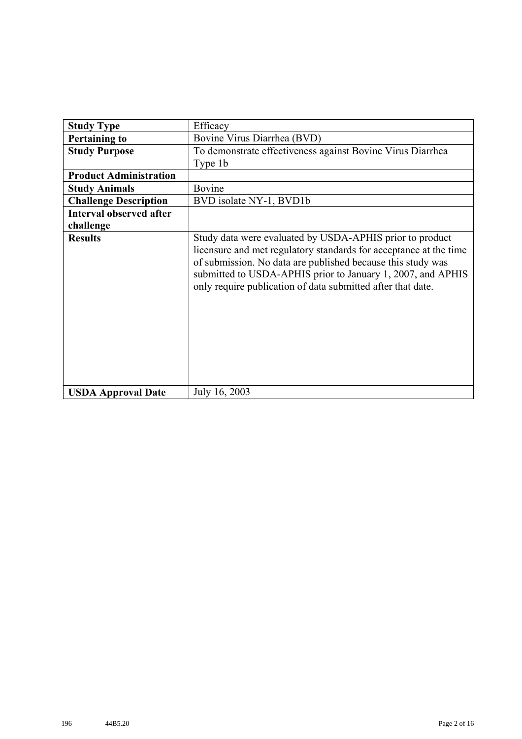| <b>Study Type</b>              | Efficacy                                                                                                                                                                                                                                                                                                                   |  |  |  |  |
|--------------------------------|----------------------------------------------------------------------------------------------------------------------------------------------------------------------------------------------------------------------------------------------------------------------------------------------------------------------------|--|--|--|--|
| <b>Pertaining to</b>           | Bovine Virus Diarrhea (BVD)                                                                                                                                                                                                                                                                                                |  |  |  |  |
| <b>Study Purpose</b>           | To demonstrate effectiveness against Bovine Virus Diarrhea                                                                                                                                                                                                                                                                 |  |  |  |  |
|                                | Type 1b                                                                                                                                                                                                                                                                                                                    |  |  |  |  |
| <b>Product Administration</b>  |                                                                                                                                                                                                                                                                                                                            |  |  |  |  |
| <b>Study Animals</b>           | Bovine                                                                                                                                                                                                                                                                                                                     |  |  |  |  |
| <b>Challenge Description</b>   | BVD isolate NY-1, BVD1b                                                                                                                                                                                                                                                                                                    |  |  |  |  |
| <b>Interval observed after</b> |                                                                                                                                                                                                                                                                                                                            |  |  |  |  |
| challenge                      |                                                                                                                                                                                                                                                                                                                            |  |  |  |  |
| <b>Results</b>                 | Study data were evaluated by USDA-APHIS prior to product<br>licensure and met regulatory standards for acceptance at the time<br>of submission. No data are published because this study was<br>submitted to USDA-APHIS prior to January 1, 2007, and APHIS<br>only require publication of data submitted after that date. |  |  |  |  |
| <b>USDA Approval Date</b>      | July 16, 2003                                                                                                                                                                                                                                                                                                              |  |  |  |  |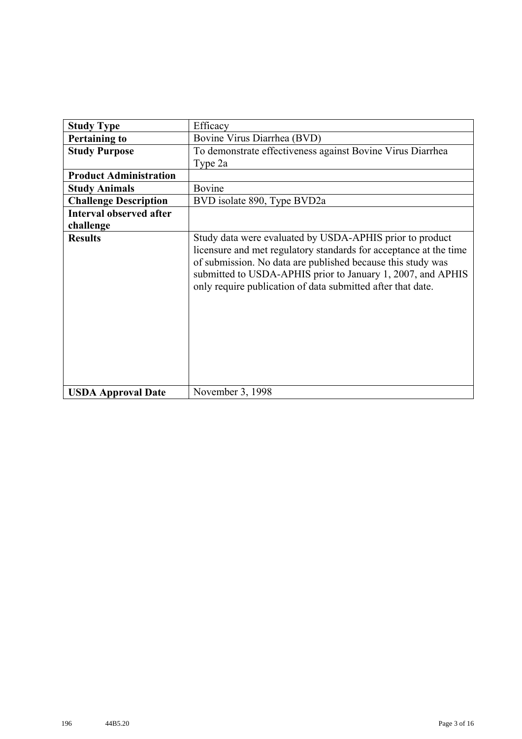| <b>Study Type</b>              | Efficacy                                                                                                                                                                                                                                                                                                                   |  |  |  |  |
|--------------------------------|----------------------------------------------------------------------------------------------------------------------------------------------------------------------------------------------------------------------------------------------------------------------------------------------------------------------------|--|--|--|--|
| <b>Pertaining to</b>           | Bovine Virus Diarrhea (BVD)                                                                                                                                                                                                                                                                                                |  |  |  |  |
| <b>Study Purpose</b>           | To demonstrate effectiveness against Bovine Virus Diarrhea                                                                                                                                                                                                                                                                 |  |  |  |  |
|                                | Type 2a                                                                                                                                                                                                                                                                                                                    |  |  |  |  |
| <b>Product Administration</b>  |                                                                                                                                                                                                                                                                                                                            |  |  |  |  |
| <b>Study Animals</b>           | Bovine                                                                                                                                                                                                                                                                                                                     |  |  |  |  |
| <b>Challenge Description</b>   | BVD isolate 890, Type BVD2a                                                                                                                                                                                                                                                                                                |  |  |  |  |
| <b>Interval observed after</b> |                                                                                                                                                                                                                                                                                                                            |  |  |  |  |
| challenge                      |                                                                                                                                                                                                                                                                                                                            |  |  |  |  |
| <b>Results</b>                 | Study data were evaluated by USDA-APHIS prior to product<br>licensure and met regulatory standards for acceptance at the time<br>of submission. No data are published because this study was<br>submitted to USDA-APHIS prior to January 1, 2007, and APHIS<br>only require publication of data submitted after that date. |  |  |  |  |
| <b>USDA Approval Date</b>      | November 3, 1998                                                                                                                                                                                                                                                                                                           |  |  |  |  |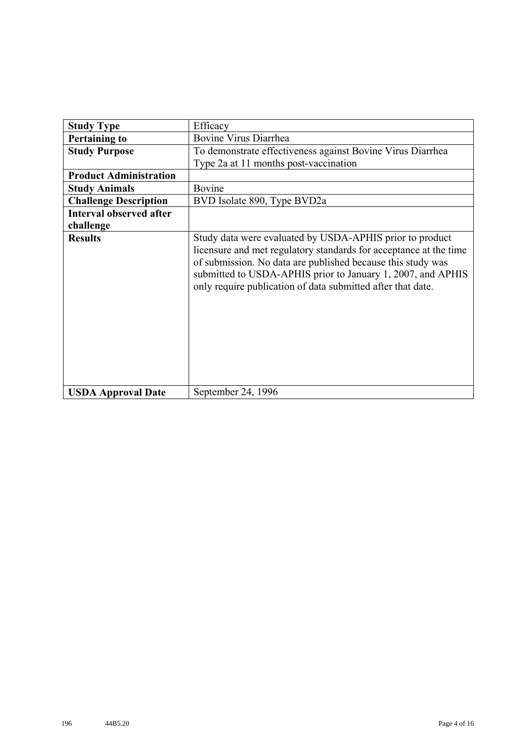| <b>Study Type</b>              | Efficacy                                                                                                                                                                                                                                                                                                                   |  |  |  |  |
|--------------------------------|----------------------------------------------------------------------------------------------------------------------------------------------------------------------------------------------------------------------------------------------------------------------------------------------------------------------------|--|--|--|--|
| <b>Pertaining to</b>           | Bovine Virus Diarrhea                                                                                                                                                                                                                                                                                                      |  |  |  |  |
| <b>Study Purpose</b>           | To demonstrate effectiveness against Bovine Virus Diarrhea                                                                                                                                                                                                                                                                 |  |  |  |  |
|                                | Type 2a at 11 months post-vaccination                                                                                                                                                                                                                                                                                      |  |  |  |  |
| <b>Product Administration</b>  |                                                                                                                                                                                                                                                                                                                            |  |  |  |  |
| <b>Study Animals</b>           | Bovine                                                                                                                                                                                                                                                                                                                     |  |  |  |  |
| <b>Challenge Description</b>   | BVD Isolate 890, Type BVD2a                                                                                                                                                                                                                                                                                                |  |  |  |  |
| <b>Interval observed after</b> |                                                                                                                                                                                                                                                                                                                            |  |  |  |  |
| challenge                      |                                                                                                                                                                                                                                                                                                                            |  |  |  |  |
| <b>Results</b>                 | Study data were evaluated by USDA-APHIS prior to product<br>licensure and met regulatory standards for acceptance at the time<br>of submission. No data are published because this study was<br>submitted to USDA-APHIS prior to January 1, 2007, and APHIS<br>only require publication of data submitted after that date. |  |  |  |  |
| <b>USDA Approval Date</b>      | September 24, 1996                                                                                                                                                                                                                                                                                                         |  |  |  |  |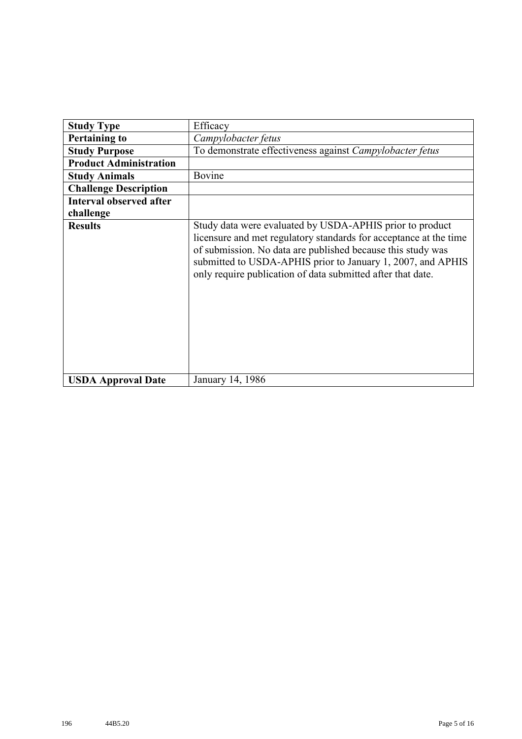| <b>Study Type</b>              | Efficacy                                                                                                                                                                                                                                                                                                                   |  |  |  |
|--------------------------------|----------------------------------------------------------------------------------------------------------------------------------------------------------------------------------------------------------------------------------------------------------------------------------------------------------------------------|--|--|--|
| <b>Pertaining to</b>           | Campylobacter fetus                                                                                                                                                                                                                                                                                                        |  |  |  |
| <b>Study Purpose</b>           | To demonstrate effectiveness against Campylobacter fetus                                                                                                                                                                                                                                                                   |  |  |  |
| <b>Product Administration</b>  |                                                                                                                                                                                                                                                                                                                            |  |  |  |
| <b>Study Animals</b>           | Bovine                                                                                                                                                                                                                                                                                                                     |  |  |  |
| <b>Challenge Description</b>   |                                                                                                                                                                                                                                                                                                                            |  |  |  |
| <b>Interval observed after</b> |                                                                                                                                                                                                                                                                                                                            |  |  |  |
| challenge                      |                                                                                                                                                                                                                                                                                                                            |  |  |  |
| <b>Results</b>                 | Study data were evaluated by USDA-APHIS prior to product<br>licensure and met regulatory standards for acceptance at the time<br>of submission. No data are published because this study was<br>submitted to USDA-APHIS prior to January 1, 2007, and APHIS<br>only require publication of data submitted after that date. |  |  |  |
| <b>USDA Approval Date</b>      | January 14, 1986                                                                                                                                                                                                                                                                                                           |  |  |  |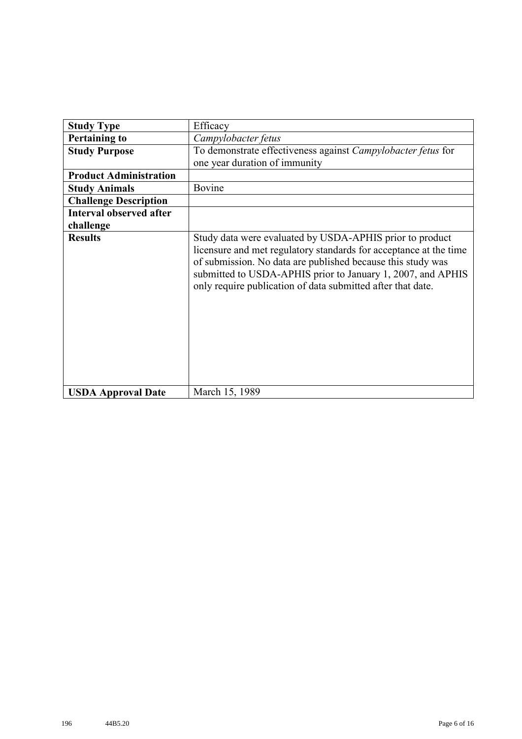| <b>Study Type</b>              | Efficacy                                                                                                                                                                                                                                                                                                                   |  |  |  |  |  |
|--------------------------------|----------------------------------------------------------------------------------------------------------------------------------------------------------------------------------------------------------------------------------------------------------------------------------------------------------------------------|--|--|--|--|--|
| <b>Pertaining to</b>           | Campylobacter fetus                                                                                                                                                                                                                                                                                                        |  |  |  |  |  |
| <b>Study Purpose</b>           | To demonstrate effectiveness against Campylobacter fetus for                                                                                                                                                                                                                                                               |  |  |  |  |  |
|                                | one year duration of immunity                                                                                                                                                                                                                                                                                              |  |  |  |  |  |
| <b>Product Administration</b>  |                                                                                                                                                                                                                                                                                                                            |  |  |  |  |  |
| <b>Study Animals</b>           | Bovine                                                                                                                                                                                                                                                                                                                     |  |  |  |  |  |
| <b>Challenge Description</b>   |                                                                                                                                                                                                                                                                                                                            |  |  |  |  |  |
| <b>Interval observed after</b> |                                                                                                                                                                                                                                                                                                                            |  |  |  |  |  |
| challenge                      |                                                                                                                                                                                                                                                                                                                            |  |  |  |  |  |
| <b>Results</b>                 | Study data were evaluated by USDA-APHIS prior to product<br>licensure and met regulatory standards for acceptance at the time<br>of submission. No data are published because this study was<br>submitted to USDA-APHIS prior to January 1, 2007, and APHIS<br>only require publication of data submitted after that date. |  |  |  |  |  |
| <b>USDA Approval Date</b>      | March 15, 1989                                                                                                                                                                                                                                                                                                             |  |  |  |  |  |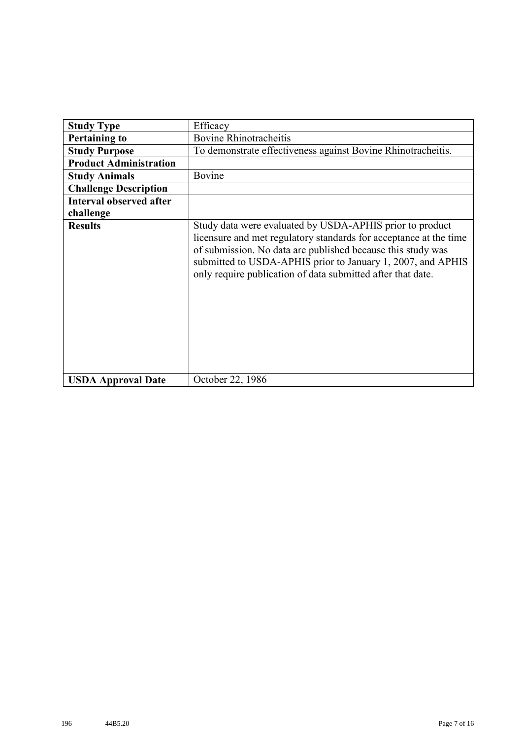| <b>Study Type</b>              | Efficacy                                                                                                                                                                                                                                                                                                                   |  |  |  |  |  |
|--------------------------------|----------------------------------------------------------------------------------------------------------------------------------------------------------------------------------------------------------------------------------------------------------------------------------------------------------------------------|--|--|--|--|--|
| <b>Pertaining to</b>           | <b>Bovine Rhinotracheitis</b>                                                                                                                                                                                                                                                                                              |  |  |  |  |  |
|                                |                                                                                                                                                                                                                                                                                                                            |  |  |  |  |  |
| <b>Study Purpose</b>           | To demonstrate effectiveness against Bovine Rhinotracheitis.                                                                                                                                                                                                                                                               |  |  |  |  |  |
| <b>Product Administration</b>  |                                                                                                                                                                                                                                                                                                                            |  |  |  |  |  |
| <b>Study Animals</b>           | Bovine                                                                                                                                                                                                                                                                                                                     |  |  |  |  |  |
| <b>Challenge Description</b>   |                                                                                                                                                                                                                                                                                                                            |  |  |  |  |  |
| <b>Interval observed after</b> |                                                                                                                                                                                                                                                                                                                            |  |  |  |  |  |
| challenge                      |                                                                                                                                                                                                                                                                                                                            |  |  |  |  |  |
| <b>Results</b>                 | Study data were evaluated by USDA-APHIS prior to product<br>licensure and met regulatory standards for acceptance at the time<br>of submission. No data are published because this study was<br>submitted to USDA-APHIS prior to January 1, 2007, and APHIS<br>only require publication of data submitted after that date. |  |  |  |  |  |
| <b>USDA Approval Date</b>      | October 22, 1986                                                                                                                                                                                                                                                                                                           |  |  |  |  |  |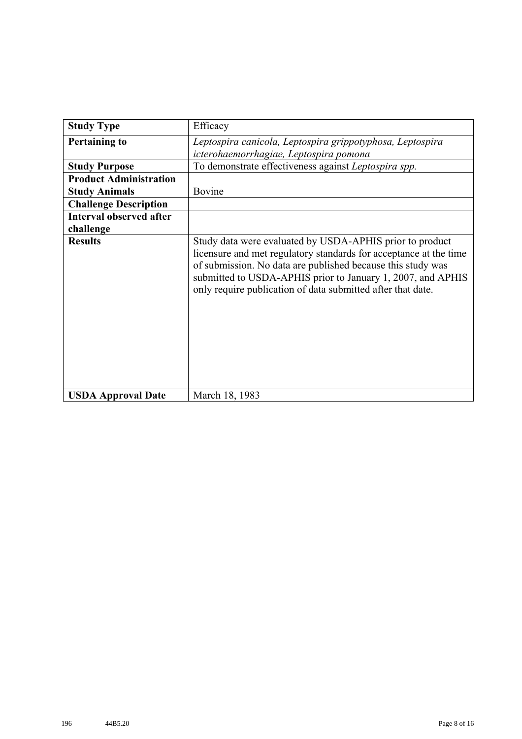| <b>Study Type</b>              | Efficacy                                                                                                                                                                                                                                                                                                                   |  |  |  |  |  |
|--------------------------------|----------------------------------------------------------------------------------------------------------------------------------------------------------------------------------------------------------------------------------------------------------------------------------------------------------------------------|--|--|--|--|--|
| <b>Pertaining to</b>           | Leptospira canicola, Leptospira grippotyphosa, Leptospira                                                                                                                                                                                                                                                                  |  |  |  |  |  |
|                                | icterohaemorrhagiae, Leptospira pomona                                                                                                                                                                                                                                                                                     |  |  |  |  |  |
| <b>Study Purpose</b>           | To demonstrate effectiveness against Leptospira spp.                                                                                                                                                                                                                                                                       |  |  |  |  |  |
| <b>Product Administration</b>  |                                                                                                                                                                                                                                                                                                                            |  |  |  |  |  |
| <b>Study Animals</b>           | Bovine                                                                                                                                                                                                                                                                                                                     |  |  |  |  |  |
| <b>Challenge Description</b>   |                                                                                                                                                                                                                                                                                                                            |  |  |  |  |  |
| <b>Interval observed after</b> |                                                                                                                                                                                                                                                                                                                            |  |  |  |  |  |
| challenge                      |                                                                                                                                                                                                                                                                                                                            |  |  |  |  |  |
| <b>Results</b>                 | Study data were evaluated by USDA-APHIS prior to product<br>licensure and met regulatory standards for acceptance at the time<br>of submission. No data are published because this study was<br>submitted to USDA-APHIS prior to January 1, 2007, and APHIS<br>only require publication of data submitted after that date. |  |  |  |  |  |
| <b>USDA Approval Date</b>      | March 18, 1983                                                                                                                                                                                                                                                                                                             |  |  |  |  |  |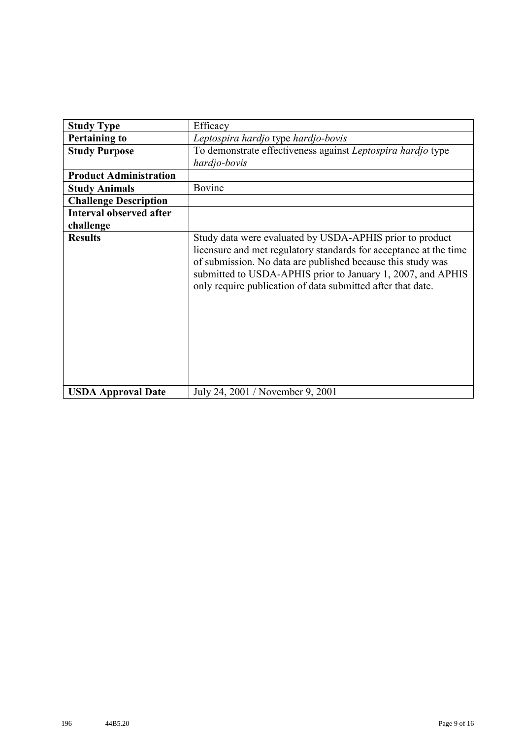| <b>Study Type</b>              | Efficacy                                                                                                                                                                                                                                                                                                                   |  |  |  |
|--------------------------------|----------------------------------------------------------------------------------------------------------------------------------------------------------------------------------------------------------------------------------------------------------------------------------------------------------------------------|--|--|--|
| <b>Pertaining to</b>           | Leptospira hardjo type hardjo-bovis                                                                                                                                                                                                                                                                                        |  |  |  |
| <b>Study Purpose</b>           | To demonstrate effectiveness against Leptospira hardjo type<br>hardjo-bovis                                                                                                                                                                                                                                                |  |  |  |
| <b>Product Administration</b>  |                                                                                                                                                                                                                                                                                                                            |  |  |  |
| <b>Study Animals</b>           | Bovine                                                                                                                                                                                                                                                                                                                     |  |  |  |
| <b>Challenge Description</b>   |                                                                                                                                                                                                                                                                                                                            |  |  |  |
| <b>Interval observed after</b> |                                                                                                                                                                                                                                                                                                                            |  |  |  |
| challenge                      |                                                                                                                                                                                                                                                                                                                            |  |  |  |
| <b>Results</b>                 | Study data were evaluated by USDA-APHIS prior to product<br>licensure and met regulatory standards for acceptance at the time<br>of submission. No data are published because this study was<br>submitted to USDA-APHIS prior to January 1, 2007, and APHIS<br>only require publication of data submitted after that date. |  |  |  |
| <b>USDA Approval Date</b>      | July 24, 2001 / November 9, 2001                                                                                                                                                                                                                                                                                           |  |  |  |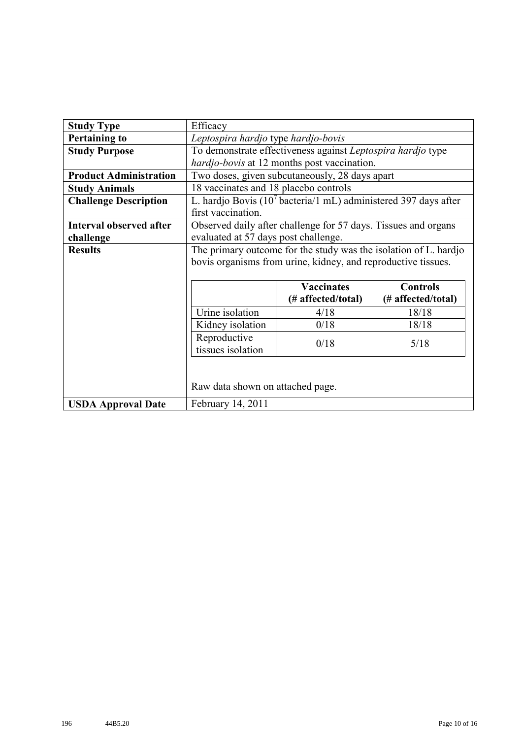| <b>Study Type</b>              | Efficacy                                                         |                                                                             |  |  |  |  |  |
|--------------------------------|------------------------------------------------------------------|-----------------------------------------------------------------------------|--|--|--|--|--|
| <b>Pertaining to</b>           | Leptospira hardjo type hardjo-bovis                              |                                                                             |  |  |  |  |  |
| <b>Study Purpose</b>           |                                                                  | To demonstrate effectiveness against Leptospira hardjo type                 |  |  |  |  |  |
|                                | hardjo-bovis at 12 months post vaccination.                      |                                                                             |  |  |  |  |  |
| <b>Product Administration</b>  |                                                                  | Two doses, given subcutaneously, 28 days apart                              |  |  |  |  |  |
| <b>Study Animals</b>           | 18 vaccinates and 18 placebo controls                            |                                                                             |  |  |  |  |  |
| <b>Challenge Description</b>   |                                                                  | L. hardjo Bovis (10 <sup>7</sup> bacteria/1 mL) administered 397 days after |  |  |  |  |  |
|                                | first vaccination.                                               |                                                                             |  |  |  |  |  |
| <b>Interval observed after</b> | Observed daily after challenge for 57 days. Tissues and organs   |                                                                             |  |  |  |  |  |
| challenge                      | evaluated at 57 days post challenge.                             |                                                                             |  |  |  |  |  |
| <b>Results</b>                 | The primary outcome for the study was the isolation of L. hardjo |                                                                             |  |  |  |  |  |
|                                | bovis organisms from urine, kidney, and reproductive tissues.    |                                                                             |  |  |  |  |  |
|                                |                                                                  |                                                                             |  |  |  |  |  |
|                                | <b>Vaccinates</b><br><b>Controls</b>                             |                                                                             |  |  |  |  |  |
|                                | (# affected/total)<br>(# affected/total)                         |                                                                             |  |  |  |  |  |
|                                | Urine isolation<br>4/18<br>18/18                                 |                                                                             |  |  |  |  |  |
|                                | Kidney isolation<br>0/18<br>18/18                                |                                                                             |  |  |  |  |  |
|                                | Reproductive                                                     |                                                                             |  |  |  |  |  |
|                                | 0/18<br>5/18<br>tissues isolation                                |                                                                             |  |  |  |  |  |
|                                |                                                                  |                                                                             |  |  |  |  |  |
|                                |                                                                  |                                                                             |  |  |  |  |  |
|                                | Raw data shown on attached page.                                 |                                                                             |  |  |  |  |  |
| <b>USDA Approval Date</b>      | February 14, 2011                                                |                                                                             |  |  |  |  |  |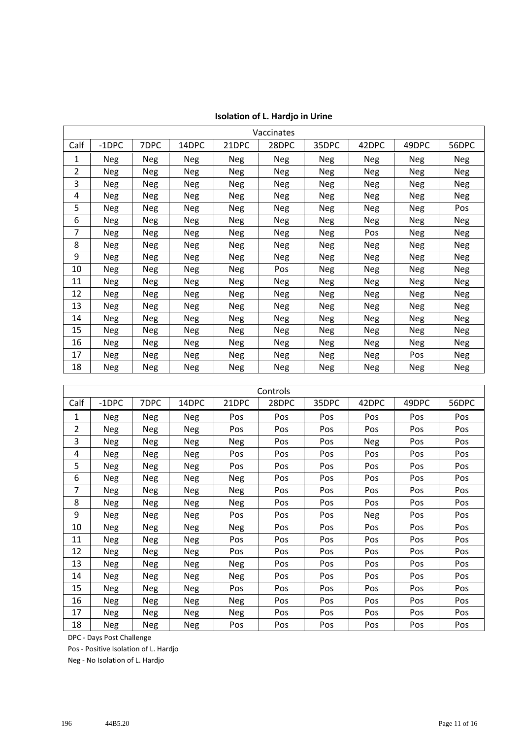| Vaccinates |            |            |            |            |            |            |            |            |            |
|------------|------------|------------|------------|------------|------------|------------|------------|------------|------------|
| Calf       | $-1$ DPC   | 7DPC       | 14DPC      | 21DPC      | 28DPC      | 35DPC      | 42DPC      | 49DPC      | 56DPC      |
| 1          | Neg        | Neg        | <b>Neg</b> | Neg        | Neg        | Neg        | <b>Neg</b> | <b>Neg</b> | Neg        |
| 2          | <b>Neg</b> | Neg        | Neg        | Neg        | <b>Neg</b> | <b>Neg</b> | Neg        | <b>Neg</b> | <b>Neg</b> |
| 3          | <b>Neg</b> | <b>Neg</b> | <b>Neg</b> | <b>Neg</b> | <b>Neg</b> | Neg        | <b>Neg</b> | Neg        | Neg        |
| 4          | <b>Neg</b> | <b>Neg</b> | <b>Neg</b> | <b>Neg</b> | <b>Neg</b> | <b>Neg</b> | <b>Neg</b> | <b>Neg</b> | <b>Neg</b> |
| 5          | <b>Neg</b> | Neg        | Neg        | <b>Neg</b> | <b>Neg</b> | Neg        | Neg        | <b>Neg</b> | Pos        |
| 6          | <b>Neg</b> | Neg        | <b>Neg</b> | Neg        | <b>Neg</b> | <b>Neg</b> | <b>Neg</b> | Neg        | Neg        |
| 7          | Neg        | <b>Neg</b> | <b>Neg</b> | <b>Neg</b> | Neg        | Neg        | Pos        | Neg        | <b>Neg</b> |
| 8          | Neg        | <b>Neg</b> | Neg        | <b>Neg</b> | <b>Neg</b> | <b>Neg</b> | <b>Neg</b> | Neg        | <b>Neg</b> |
| 9          | <b>Neg</b> | <b>Neg</b> | <b>Neg</b> | <b>Neg</b> | <b>Neg</b> | <b>Neg</b> | <b>Neg</b> | Neg        | <b>Neg</b> |
| 10         | <b>Neg</b> | Neg        | <b>Neg</b> | <b>Neg</b> | Pos        | Neg        | <b>Neg</b> | <b>Neg</b> | <b>Neg</b> |
| 11         | <b>Neg</b> | Neg        | Neg        | <b>Neg</b> | <b>Neg</b> | Neg        | Neg        | Neg        | <b>Neg</b> |
| 12         | <b>Neg</b> | Neg        | <b>Neg</b> | Neg        | <b>Neg</b> | Neg        | Neg        | Neg        | Neg        |
| 13         | Neg        | Neg        | <b>Neg</b> | <b>Neg</b> | Neg        | Neg        | Neg        | Neg        | <b>Neg</b> |
| 14         | Neg        | Neg        | Neg        | Neg        | Neg        | Neg        | Neg        | Neg        | Neg        |
| 15         | <b>Neg</b> | <b>Neg</b> | Neg        | Neg        | Neg        | <b>Neg</b> | Neg        | Neg        | <b>Neg</b> |
| 16         | <b>Neg</b> | <b>Neg</b> | <b>Neg</b> | Neg        | <b>Neg</b> | <b>Neg</b> | <b>Neg</b> | Neg        | <b>Neg</b> |
| 17         | <b>Neg</b> | Neg        | <b>Neg</b> | <b>Neg</b> | <b>Neg</b> | <b>Neg</b> | Neg        | Pos        | <b>Neg</b> |
| 18         | Neg        | Neg        | Neg        | <b>Neg</b> | Neg        | Neg        | Neg        | Neg        | Neg        |

| <b>Isolation of L. Hardjo in Urine</b> |  |  |  |
|----------------------------------------|--|--|--|
|----------------------------------------|--|--|--|

| Controls       |            |            |            |            |       |       |       |            |            |
|----------------|------------|------------|------------|------------|-------|-------|-------|------------|------------|
| Calf           | $-1$ DPC   | 7DPC       | 14DPC      | 21DPC      | 28DPC | 35DPC | 42DPC | 49DPC      | 56DPC      |
| 1              | <b>Neg</b> | <b>Neg</b> | <b>Neg</b> | Pos        | Pos   | Pos   | Pos   | Pos        | Pos        |
| $\overline{2}$ | <b>Neg</b> | <b>Neg</b> | <b>Neg</b> | Pos        | Pos   | Pos   | Pos   | Pos        | Pos        |
| 3              | Neg        | <b>Neg</b> | <b>Neg</b> | <b>Neg</b> | Pos   | Pos   | Neg   | Pos        | Pos        |
| 4              | Neg        | <b>Neg</b> | <b>Neg</b> | Pos        | Pos   | Pos   | Pos   | Pos        | Pos        |
| 5              | Neg        | <b>Neg</b> | <b>Neg</b> | Pos        | Pos   | Pos   | Pos   | <b>Pos</b> | Pos        |
| 6              | Neg        | Neg        | Neg        | <b>Neg</b> | Pos   | Pos   | Pos   | Pos        | Pos        |
| 7              | Neg        | <b>Neg</b> | Neg        | <b>Neg</b> | Pos   | Pos   | Pos   | Pos        | Pos        |
| 8              | Neg        | <b>Neg</b> | <b>Neg</b> | <b>Neg</b> | Pos   | Pos   | Pos   | Pos        | Pos        |
| 9              | <b>Neg</b> | <b>Neg</b> | <b>Neg</b> | Pos        | Pos   | Pos   | Neg   | Pos        | Pos        |
| 10             | Neg        | <b>Neg</b> | <b>Neg</b> | Neg        | Pos   | Pos   | Pos   | Pos        | Pos        |
| 11             | <b>Neg</b> | <b>Neg</b> | Neg        | Pos        | Pos   | Pos   | Pos   | Pos        | Pos        |
| 12             | Neg        | <b>Neg</b> | Neg        | Pos        | Pos   | Pos   | Pos   | <b>Pos</b> | <b>Pos</b> |
| 13             | Neg        | Neg        | Neg        | <b>Neg</b> | Pos   | Pos   | Pos   | Pos        | <b>Pos</b> |
| 14             | <b>Neg</b> | <b>Neg</b> | Neg        | Neg        | Pos   | Pos   | Pos   | Pos        | Pos        |
| 15             | <b>Neg</b> | <b>Neg</b> | Neg        | Pos        | Pos   | Pos   | Pos   | Pos        | Pos        |
| 16             | <b>Neg</b> | Neg        | <b>Neg</b> | <b>Neg</b> | Pos   | Pos   | Pos   | Pos        | Pos        |
| 17             | <b>Neg</b> | <b>Neg</b> | <b>Neg</b> | Neg        | Pos   | Pos   | Pos   | Pos        | Pos        |
| 18             | Neg        | <b>Neg</b> | Neg        | Pos        | Pos   | Pos   | Pos   | Pos        | Pos        |

DPC - Days Post Challenge

Pos - Positive Isolation of L. Hardjo

Neg - No Isolation of L. Hardjo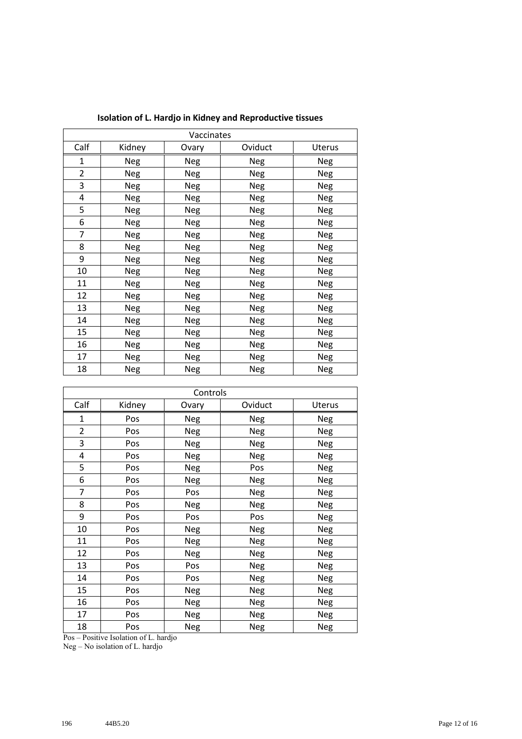| Vaccinates     |        |            |         |            |  |
|----------------|--------|------------|---------|------------|--|
| Calf           | Kidney | Ovary      | Oviduct | Uterus     |  |
| 1              | Neg    | Neg        | Neg     | Neg        |  |
| $\overline{2}$ | Neg    | Neg        | Neg     | <b>Neg</b> |  |
| 3              | Neg    | <b>Neg</b> | Neg     |            |  |
| 4              | Neg    | Neg        | Neg     | Neg        |  |
| 5              | Neg    | Neg        | Neg     | Neg        |  |
| 6              | Neg    | <b>Neg</b> | Neg     | Neg        |  |
| 7              | Neg    | Neg        | Neg     | Neg        |  |
| 8              | Neg    | Neg        | Neg     | Neg        |  |
| 9              | Neg    | Neg        | Neg     | Neg        |  |
| 10             | Neg    | Neg        | Neg     | <b>Neg</b> |  |
| 11             | Neg    | Neg        | Neg     | Neg        |  |
| 12             | Neg    | Neg        | Neg     | Neg        |  |
| 13             | Neg    | Neg        | Neg     | Neg        |  |
| 14             | Neg    | Neg        | Neg     | Neg        |  |
| 15             | Neg    | Neg        | Neg     | Neg        |  |
| 16             | Neg    | Neg        | Neg     | Neg        |  |
| 17             | Neg    | Neg        | Neg     | Neg        |  |
| 18             | Neg    | Neg        | Neg     | Neg        |  |

**Isolation of L. Hardjo in Kidney and Reproductive tissues**

| Controls       |        |            |            |            |  |
|----------------|--------|------------|------------|------------|--|
| Calf           | Kidney | Ovary      | Oviduct    | Uterus     |  |
| $\mathbf{1}$   | Pos    | Neg        | Neg        | Neg        |  |
| $\overline{2}$ | Pos    | <b>Neg</b> | <b>Neg</b> | <b>Neg</b> |  |
| 3              | Pos    | <b>Neg</b> | <b>Neg</b> | <b>Neg</b> |  |
| 4              | Pos    | <b>Neg</b> | <b>Neg</b> | <b>Neg</b> |  |
| 5              | Pos    | Neg        | Pos        | <b>Neg</b> |  |
| 6              | Pos    | <b>Neg</b> | Neg        | <b>Neg</b> |  |
| $\overline{7}$ | Pos    | Pos        | <b>Neg</b> | <b>Neg</b> |  |
| 8              | Pos    | <b>Neg</b> | <b>Neg</b> | Neg        |  |
| 9              | Pos    | Pos        | Pos        | <b>Neg</b> |  |
| 10             | Pos    | <b>Neg</b> | <b>Neg</b> | <b>Neg</b> |  |
| 11             | Pos    | <b>Neg</b> | <b>Neg</b> | <b>Neg</b> |  |
| 12             | Pos    | <b>Neg</b> | <b>Neg</b> | <b>Neg</b> |  |
| 13             | Pos    | Pos        | Neg        | <b>Neg</b> |  |
| 14             | Pos    | Pos        | <b>Neg</b> | <b>Neg</b> |  |
| 15             | Pos    | <b>Neg</b> | <b>Neg</b> | <b>Neg</b> |  |
| 16             | Pos    | Neg        | Neg        | <b>Neg</b> |  |
| 17             | Pos    | Neg        | <b>Neg</b> | <b>Neg</b> |  |
| 18             | Pos    | <b>Neg</b> | Neg        | <b>Neg</b> |  |

Pos – Positive Isolation of L. hardjo

Neg – No isolation of L. hardjo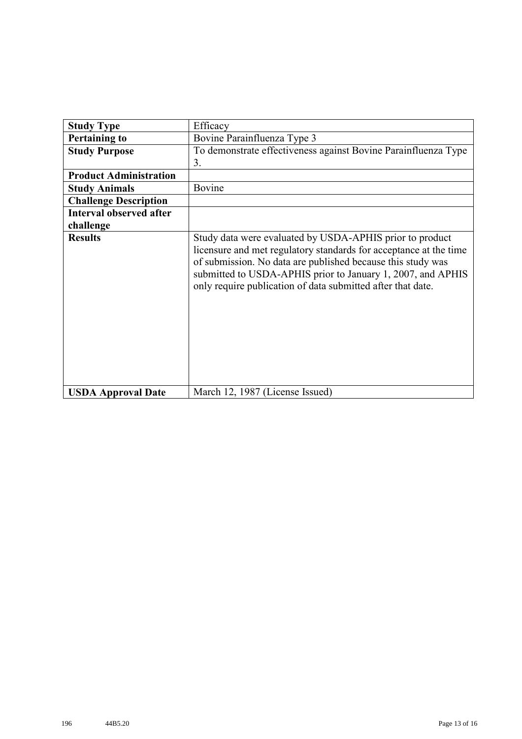| <b>Study Type</b>              | Efficacy                                                                                                                                                                                                                                                                                                                   |
|--------------------------------|----------------------------------------------------------------------------------------------------------------------------------------------------------------------------------------------------------------------------------------------------------------------------------------------------------------------------|
| <b>Pertaining to</b>           | Bovine Parainfluenza Type 3                                                                                                                                                                                                                                                                                                |
| <b>Study Purpose</b>           | To demonstrate effectiveness against Bovine Parainfluenza Type                                                                                                                                                                                                                                                             |
|                                | 3.                                                                                                                                                                                                                                                                                                                         |
| <b>Product Administration</b>  |                                                                                                                                                                                                                                                                                                                            |
| <b>Study Animals</b>           | Bovine                                                                                                                                                                                                                                                                                                                     |
| <b>Challenge Description</b>   |                                                                                                                                                                                                                                                                                                                            |
| <b>Interval observed after</b> |                                                                                                                                                                                                                                                                                                                            |
| challenge                      |                                                                                                                                                                                                                                                                                                                            |
| <b>Results</b>                 | Study data were evaluated by USDA-APHIS prior to product<br>licensure and met regulatory standards for acceptance at the time<br>of submission. No data are published because this study was<br>submitted to USDA-APHIS prior to January 1, 2007, and APHIS<br>only require publication of data submitted after that date. |
| <b>USDA Approval Date</b>      | March 12, 1987 (License Issued)                                                                                                                                                                                                                                                                                            |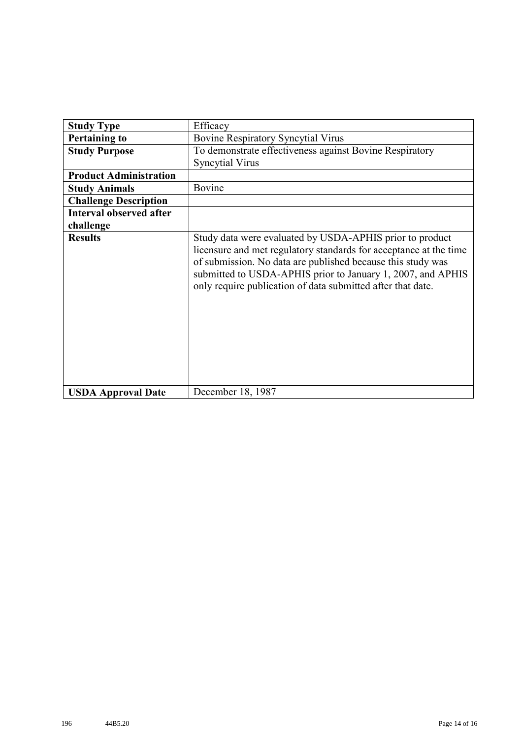| <b>Study Type</b>              | Efficacy                                                                                                                                                                                                                                                                                                                   |
|--------------------------------|----------------------------------------------------------------------------------------------------------------------------------------------------------------------------------------------------------------------------------------------------------------------------------------------------------------------------|
| <b>Pertaining to</b>           | <b>Bovine Respiratory Syncytial Virus</b>                                                                                                                                                                                                                                                                                  |
| <b>Study Purpose</b>           | To demonstrate effectiveness against Bovine Respiratory                                                                                                                                                                                                                                                                    |
|                                | <b>Syncytial Virus</b>                                                                                                                                                                                                                                                                                                     |
| <b>Product Administration</b>  |                                                                                                                                                                                                                                                                                                                            |
| <b>Study Animals</b>           | Bovine                                                                                                                                                                                                                                                                                                                     |
| <b>Challenge Description</b>   |                                                                                                                                                                                                                                                                                                                            |
| <b>Interval observed after</b> |                                                                                                                                                                                                                                                                                                                            |
| challenge                      |                                                                                                                                                                                                                                                                                                                            |
| <b>Results</b>                 | Study data were evaluated by USDA-APHIS prior to product<br>licensure and met regulatory standards for acceptance at the time<br>of submission. No data are published because this study was<br>submitted to USDA-APHIS prior to January 1, 2007, and APHIS<br>only require publication of data submitted after that date. |
| <b>USDA Approval Date</b>      | December 18, 1987                                                                                                                                                                                                                                                                                                          |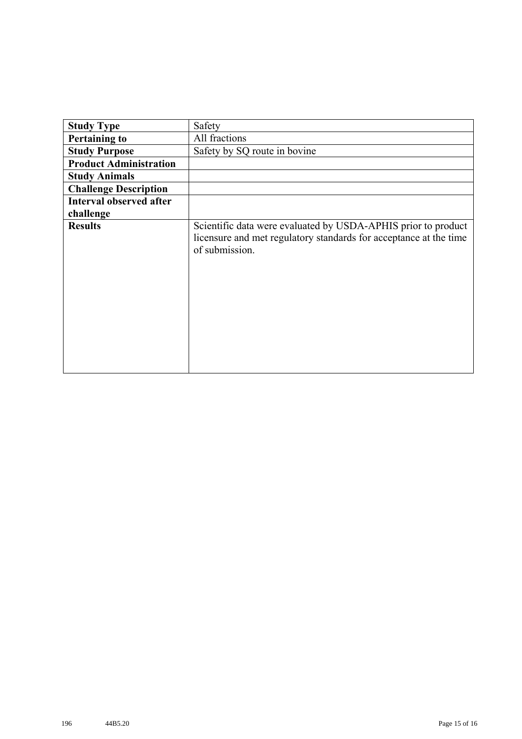| <b>Study Type</b>              | Safety                                                                                                                                               |
|--------------------------------|------------------------------------------------------------------------------------------------------------------------------------------------------|
| <b>Pertaining to</b>           | All fractions                                                                                                                                        |
| <b>Study Purpose</b>           | Safety by SQ route in bovine                                                                                                                         |
| <b>Product Administration</b>  |                                                                                                                                                      |
| <b>Study Animals</b>           |                                                                                                                                                      |
| <b>Challenge Description</b>   |                                                                                                                                                      |
| <b>Interval observed after</b> |                                                                                                                                                      |
| challenge                      |                                                                                                                                                      |
| <b>Results</b>                 | Scientific data were evaluated by USDA-APHIS prior to product<br>licensure and met regulatory standards for acceptance at the time<br>of submission. |